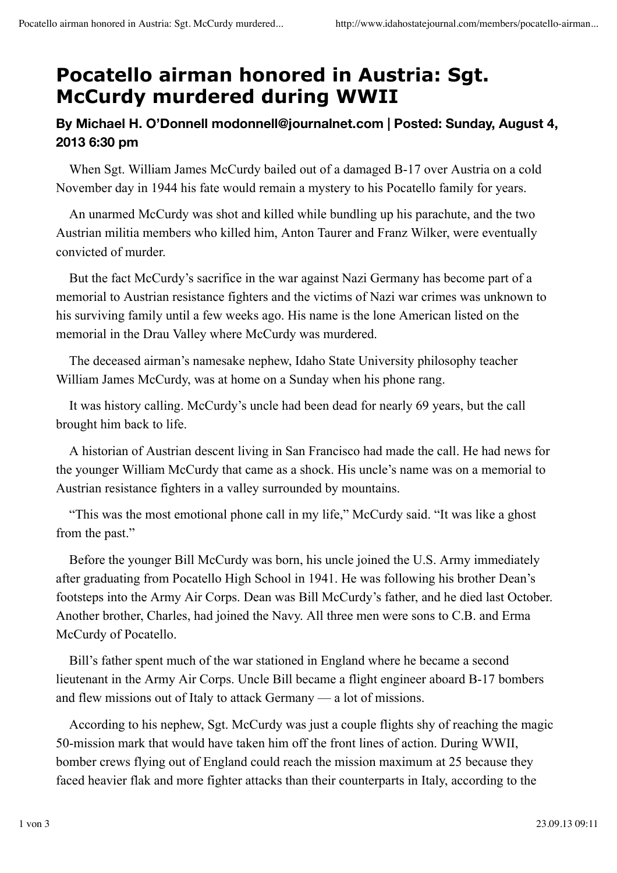## **Pocatello airman honored in Austria: Sgt. McCurdy murdered during WWII**

## **By Michael H. O'Donnell modonnell@journalnet.com | Posted: Sunday, August 4, 2013 6:30 pm**

 When Sgt. William James McCurdy bailed out of a damaged B-17 over Austria on a cold November day in 1944 his fate would remain a mystery to his Pocatello family for years.

 An unarmed McCurdy was shot and killed while bundling up his parachute, and the two Austrian militia members who killed him, Anton Taurer and Franz Wilker, were eventually convicted of murder.

 But the fact McCurdy's sacrifice in the war against Nazi Germany has become part of a memorial to Austrian resistance fighters and the victims of Nazi war crimes was unknown to his surviving family until a few weeks ago. His name is the lone American listed on the memorial in the Drau Valley where McCurdy was murdered.

 The deceased airman's namesake nephew, Idaho State University philosophy teacher William James McCurdy, was at home on a Sunday when his phone rang.

 It was history calling. McCurdy's uncle had been dead for nearly 69 years, but the call brought him back to life.

 A historian of Austrian descent living in San Francisco had made the call. He had news for the younger William McCurdy that came as a shock. His uncle's name was on a memorial to Austrian resistance fighters in a valley surrounded by mountains.

 "This was the most emotional phone call in my life," McCurdy said. "It was like a ghost from the past."

 Before the younger Bill McCurdy was born, his uncle joined the U.S. Army immediately after graduating from Pocatello High School in 1941. He was following his brother Dean's footsteps into the Army Air Corps. Dean was Bill McCurdy's father, and he died last October. Another brother, Charles, had joined the Navy. All three men were sons to C.B. and Erma McCurdy of Pocatello.

 Bill's father spent much of the war stationed in England where he became a second lieutenant in the Army Air Corps. Uncle Bill became a flight engineer aboard B-17 bombers and flew missions out of Italy to attack Germany — a lot of missions.

 According to his nephew, Sgt. McCurdy was just a couple flights shy of reaching the magic 50-mission mark that would have taken him off the front lines of action. During WWII, bomber crews flying out of England could reach the mission maximum at 25 because they faced heavier flak and more fighter attacks than their counterparts in Italy, according to the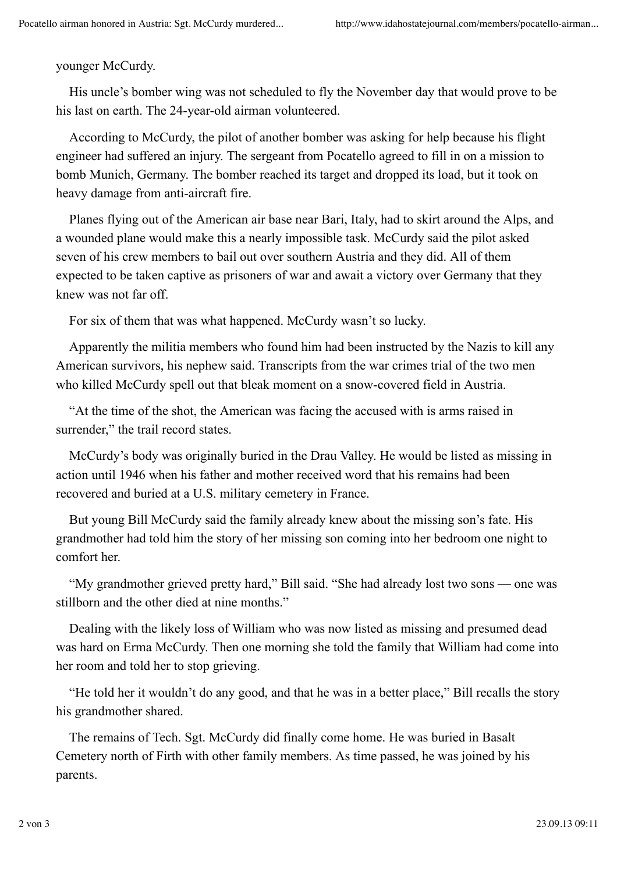## younger McCurdy.

 His uncle's bomber wing was not scheduled to fly the November day that would prove to be his last on earth. The 24-year-old airman volunteered.

 According to McCurdy, the pilot of another bomber was asking for help because his flight engineer had suffered an injury. The sergeant from Pocatello agreed to fill in on a mission to bomb Munich, Germany. The bomber reached its target and dropped its load, but it took on heavy damage from anti-aircraft fire.

 Planes flying out of the American air base near Bari, Italy, had to skirt around the Alps, and a wounded plane would make this a nearly impossible task. McCurdy said the pilot asked seven of his crew members to bail out over southern Austria and they did. All of them expected to be taken captive as prisoners of war and await a victory over Germany that they knew was not far off.

For six of them that was what happened. McCurdy wasn't so lucky.

 Apparently the militia members who found him had been instructed by the Nazis to kill any American survivors, his nephew said. Transcripts from the war crimes trial of the two men who killed McCurdy spell out that bleak moment on a snow-covered field in Austria.

 "At the time of the shot, the American was facing the accused with is arms raised in surrender," the trail record states.

 McCurdy's body was originally buried in the Drau Valley. He would be listed as missing in action until 1946 when his father and mother received word that his remains had been recovered and buried at a U.S. military cemetery in France.

 But young Bill McCurdy said the family already knew about the missing son's fate. His grandmother had told him the story of her missing son coming into her bedroom one night to comfort her.

 "My grandmother grieved pretty hard," Bill said. "She had already lost two sons — one was stillborn and the other died at nine months."

 Dealing with the likely loss of William who was now listed as missing and presumed dead was hard on Erma McCurdy. Then one morning she told the family that William had come into her room and told her to stop grieving.

 "He told her it wouldn't do any good, and that he was in a better place," Bill recalls the story his grandmother shared.

 The remains of Tech. Sgt. McCurdy did finally come home. He was buried in Basalt Cemetery north of Firth with other family members. As time passed, he was joined by his parents.